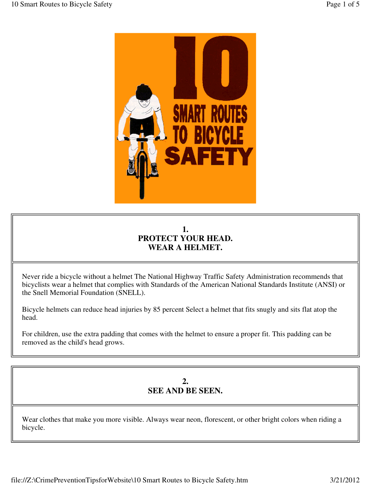

# **1. PROTECT YOUR HEAD. WEAR A HELMET.**

Never ride a bicycle without a helmet The National Highway Traffic Safety Administration recommends that bicyclists wear a helmet that complies with Standards of the American National Standards Institute (ANSI) or the Snell Memorial Foundation (SNELL).

Bicycle helmets can reduce head injuries by 85 percent Select a helmet that fits snugly and sits flat atop the head.

For children, use the extra padding that comes with the helmet to ensure a proper fit. This padding can be removed as the child's head grows.

### **2. SEE AND BE SEEN.**

Wear clothes that make you more visible. Always wear neon, florescent, or other bright colors when riding a bicycle.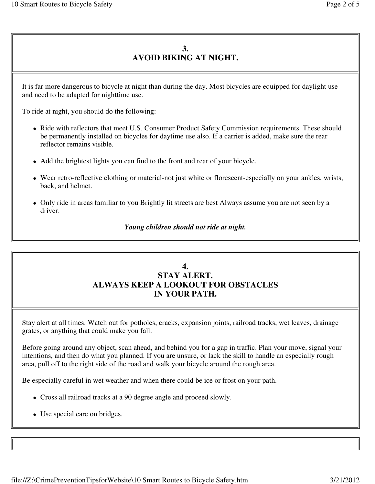# **3. AVOID BIKING AT NIGHT.**

It is far more dangerous to bicycle at night than during the day. Most bicycles are equipped for daylight use and need to be adapted for nighttime use.

To ride at night, you should do the following:

- Ride with reflectors that meet U.S. Consumer Product Safety Commission requirements. These should be permanently installed on bicycles for daytime use also. If a carrier is added, make sure the rear reflector remains visible.
- Add the brightest lights you can find to the front and rear of your bicycle.
- Wear retro-reflective clothing or material-not just white or florescent-especially on your ankles, wrists, back, and helmet.
- Only ride in areas familiar to you Brightly lit streets are best Always assume you are not seen by a driver.

#### *Young children should not ride at night.*

### **4. STAY ALERT. ALWAYS KEEP A LOOKOUT FOR OBSTACLES IN YOUR PATH.**

Stay alert at all times. Watch out for potholes, cracks, expansion joints, railroad tracks, wet leaves, drainage grates, or anything that could make you fall.

Before going around any object, scan ahead, and behind you for a gap in traffic. Plan your move, signal your intentions, and then do what you planned. If you are unsure, or lack the skill to handle an especially rough area, pull off to the right side of the road and walk your bicycle around the rough area.

Be especially careful in wet weather and when there could be ice or frost on your path.

- Cross all railroad tracks at a 90 degree angle and proceed slowly.
- Use special care on bridges.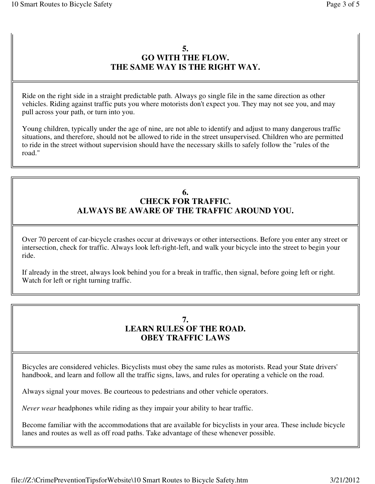### **5. GO WITH THE FLOW. THE SAME WAY IS THE RIGHT WAY.**

Ride on the right side in a straight predictable path. Always go single file in the same direction as other vehicles. Riding against traffic puts you where motorists don't expect you. They may not see you, and may pull across your path, or turn into you.

Young children, typically under the age of nine, are not able to identify and adjust to many dangerous traffic situations, and therefore, should not be allowed to ride in the street unsupervised. Children who are permitted to ride in the street without supervision should have the necessary skills to safely follow the "rules of the road."

#### **6. CHECK FOR TRAFFIC. ALWAYS BE AWARE OF THE TRAFFIC AROUND YOU.**

Over 70 percent of car-bicycle crashes occur at driveways or other intersections. Before you enter any street or intersection, check for traffic. Always look left-right-left, and walk your bicycle into the street to begin your ride.

If already in the street, always look behind you for a break in traffic, then signal, before going left or right. Watch for left or right turning traffic.

### **7. LEARN RULES OF THE ROAD. OBEY TRAFFIC LAWS**

Bicycles are considered vehicles. Bicyclists must obey the same rules as motorists. Read your State drivers' handbook, and learn and follow all the traffic signs, laws, and rules for operating a vehicle on the road.

Always signal your moves. Be courteous to pedestrians and other vehicle operators.

*Never wear* headphones while riding as they impair your ability to hear traffic.

Become familiar with the accommodations that are available for bicyclists in your area. These include bicycle lanes and routes as well as off road paths. Take advantage of these whenever possible.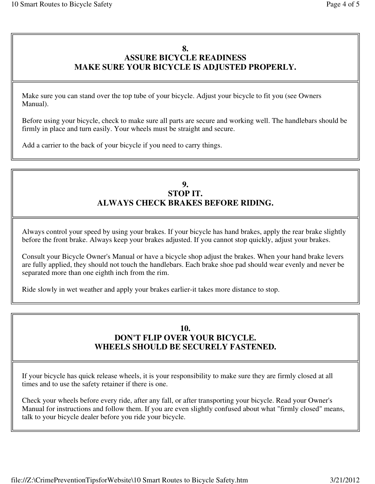## **8. ASSURE BICYCLE READINESS MAKE SURE YOUR BICYCLE IS ADJUSTED PROPERLY.**

Make sure you can stand over the top tube of your bicycle. Adjust your bicycle to fit you (see Owners Manual).

Before using your bicycle, check to make sure all parts are secure and working well. The handlebars should be firmly in place and turn easily. Your wheels must be straight and secure.

Add a carrier to the back of your bicycle if you need to carry things.

### **9. STOP IT. ALWAYS CHECK BRAKES BEFORE RIDING.**

Always control your speed by using your brakes. If your bicycle has hand brakes, apply the rear brake slightly before the front brake. Always keep your brakes adjusted. If you cannot stop quickly, adjust your brakes.

Consult your Bicycle Owner's Manual or have a bicycle shop adjust the brakes. When your hand brake levers are fully applied, they should not touch the handlebars. Each brake shoe pad should wear evenly and never be separated more than one eighth inch from the rim.

Ride slowly in wet weather and apply your brakes earlier-it takes more distance to stop.

### **10. DON'T FLIP OVER YOUR BICYCLE. WHEELS SHOULD BE SECURELY FASTENED.**

If your bicycle has quick release wheels, it is your responsibility to make sure they are firmly closed at all times and to use the safety retainer if there is one.

Check your wheels before every ride, after any fall, or after transporting your bicycle. Read your Owner's Manual for instructions and follow them. If you are even slightly confused about what "firmly closed" means, talk to your bicycle dealer before you ride your bicycle.